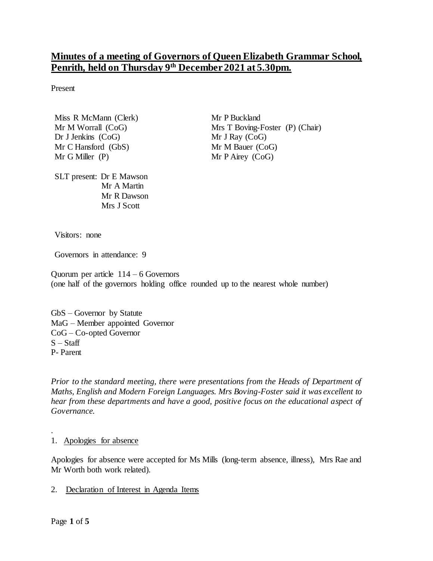# **Minutes of a meeting of Governors of Queen Elizabeth Grammar School, Penrith, held on Thursday 9 th December 2021 at 5.30pm.**

Present

Miss R McMann (Clerk) Mr M Worrall (CoG) Dr J Jenkins (CoG) Mr C Hansford (GbS) Mr G Miller (P)

SLT present: Dr E Mawson Mr A Martin Mr R Dawson Mrs J Scott

Mr P Buckland Mrs T Boving-Foster (P) (Chair) Mr J Ray (CoG) Mr M Bauer (CoG) Mr P Airey (CoG)

Visitors: none

Governors in attendance: 9

Quorum per article  $114 - 6$  Governors (one half of the governors holding office rounded up to the nearest whole number)

GbS – Governor by Statute MaG – Member appointed Governor CoG – Co-opted Governor  $S - Staff$ P- Parent

*Prior to the standard meeting, there were presentations from the Heads of Department of Maths, English and Modern Foreign Languages. Mrs Boving-Foster said it was excellent to hear from these departments and have a good, positive focus on the educational aspect of Governance.* 

### 1. Apologies for absence

Apologies for absence were accepted for Ms Mills (long-term absence, illness), Mrs Rae and Mr Worth both work related).

2. Declaration of Interest in Agenda Items

.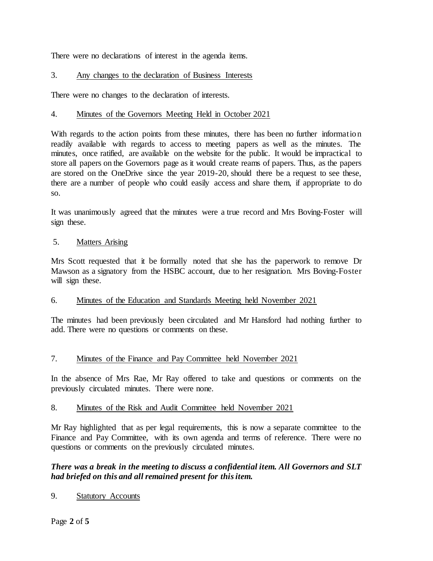There were no declarations of interest in the agenda items.

# 3. Any changes to the declaration of Business Interests

There were no changes to the declaration of interests.

### 4. Minutes of the Governors Meeting Held in October 2021

With regards to the action points from these minutes, there has been no further information readily available with regards to access to meeting papers as well as the minutes. The minutes, once ratified, are available on the website for the public. It would be impractical to store all papers on the Governors page as it would create reams of papers. Thus, as the papers are stored on the OneDrive since the year 2019-20, should there be a request to see these, there are a number of people who could easily access and share them, if appropriate to do so.

It was unanimously agreed that the minutes were a true record and Mrs Boving-Foster will sign these.

### 5. Matters Arising

Mrs Scott requested that it be formally noted that she has the paperwork to remove Dr Mawson as a signatory from the HSBC account, due to her resignation. Mrs Boving-Foster will sign these.

### 6. Minutes of the Education and Standards Meeting held November 2021

The minutes had been previously been circulated and Mr Hansford had nothing further to add. There were no questions or comments on these.

### 7. Minutes of the Finance and Pay Committee held November 2021

In the absence of Mrs Rae, Mr Ray offered to take and questions or comments on the previously circulated minutes. There were none.

### 8. Minutes of the Risk and Audit Committee held November 2021

Mr Ray highlighted that as per legal requirements, this is now a separate committee to the Finance and Pay Committee, with its own agenda and terms of reference. There were no questions or comments on the previously circulated minutes.

# *There was a break in the meeting to discuss a confidential item. All Governors and SLT had briefed on this and all remained present for this item.*

9. Statutory Accounts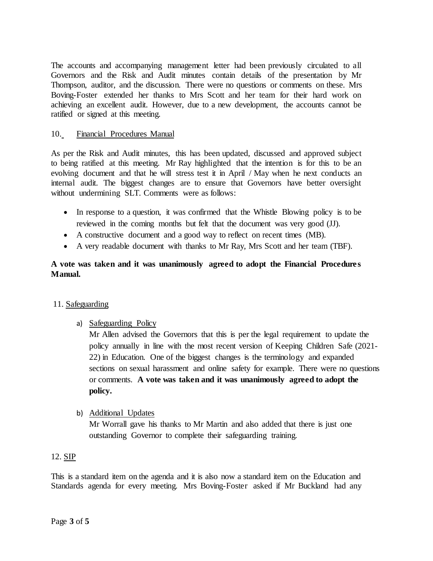The accounts and accompanying management letter had been previously circulated to all Governors and the Risk and Audit minutes contain details of the presentation by Mr Thompson, auditor, and the discussion. There were no questions or comments on these. Mrs Boving-Foster extended her thanks to Mrs Scott and her team for their hard work on achieving an excellent audit. However, due to a new development, the accounts cannot be ratified or signed at this meeting.

### 10. Financial Procedures Manual

As per the Risk and Audit minutes, this has been updated, discussed and approved subject to being ratified at this meeting. Mr Ray highlighted that the intention is for this to be an evolving document and that he will stress test it in April / May when he next conducts an internal audit. The biggest changes are to ensure that Governors have better oversight without undermining SLT. Comments were as follows:

- In response to a question, it was confirmed that the Whistle Blowing policy is to be reviewed in the coming months but felt that the document was very good (JJ).
- A constructive document and a good way to reflect on recent times (MB).
- A very readable document with thanks to Mr Ray, Mrs Scott and her team (TBF).

# **A vote was taken and it was unanimously agreed to adopt the Financial Procedures Manual.**

### 11. Safeguarding

a) Safeguarding Policy

Mr Allen advised the Governors that this is per the legal requirement to update the policy annually in line with the most recent version of Keeping Children Safe (2021- 22) in Education. One of the biggest changes is the terminology and expanded sections on sexual harassment and online safety for example. There were no questions or comments. **A vote was taken and it was unanimously agreed to adopt the policy.**

b) Additional Updates

Mr Worrall gave his thanks to Mr Martin and also added that there is just one outstanding Governor to complete their safeguarding training.

# 12. SIP

This is a standard item on the agenda and it is also now a standard item on the Education and Standards agenda for every meeting. Mrs Boving-Foster asked if Mr Buckland had any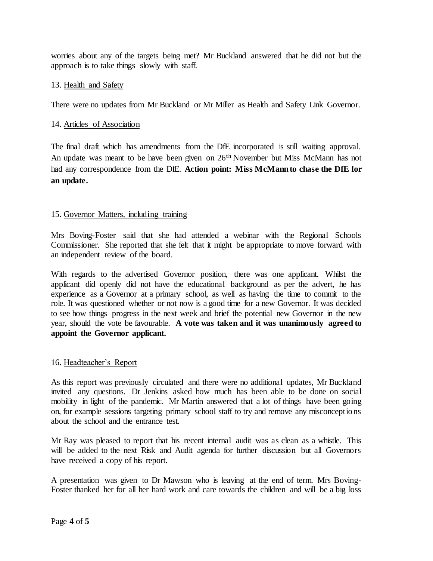worries about any of the targets being met? Mr Buckland answered that he did not but the approach is to take things slowly with staff.

### 13. Health and Safety

There were no updates from Mr Buckland or Mr Miller as Health and Safety Link Governor.

### 14. Articles of Association

The final draft which has amendments from the DfE incorporated is still waiting approval. An update was meant to be have been given on 26<sup>th</sup> November but Miss McMann has not had any correspondence from the DfE. **Action point: Miss McMann to chase the DfE for an update.**

# 15. Governor Matters, including training

Mrs Boving-Foster said that she had attended a webinar with the Regional Schools Commissioner. She reported that she felt that it might be appropriate to move forward with an independent review of the board.

With regards to the advertised Governor position, there was one applicant. Whilst the applicant did openly did not have the educational background as per the advert, he has experience as a Governor at a primary school, as well as having the time to commit to the role. It was questioned whether or not now is a good time for a new Governor. It was decided to see how things progress in the next week and brief the potential new Governor in the new year, should the vote be favourable. **A vote was taken and it was unanimously agreed to appoint the Governor applicant.** 

### 16. Headteacher's Report

As this report was previously circulated and there were no additional updates, Mr Buckland invited any questions. Dr Jenkins asked how much has been able to be done on social mobility in light of the pandemic. Mr Martin answered that a lot of things have been going on, for example sessions targeting primary school staff to try and remove any misconceptions about the school and the entrance test.

Mr Ray was pleased to report that his recent internal audit was as clean as a whistle. This will be added to the next Risk and Audit agenda for further discussion but all Governors have received a copy of his report.

A presentation was given to Dr Mawson who is leaving at the end of term. Mrs Boving-Foster thanked her for all her hard work and care towards the children and will be a big loss